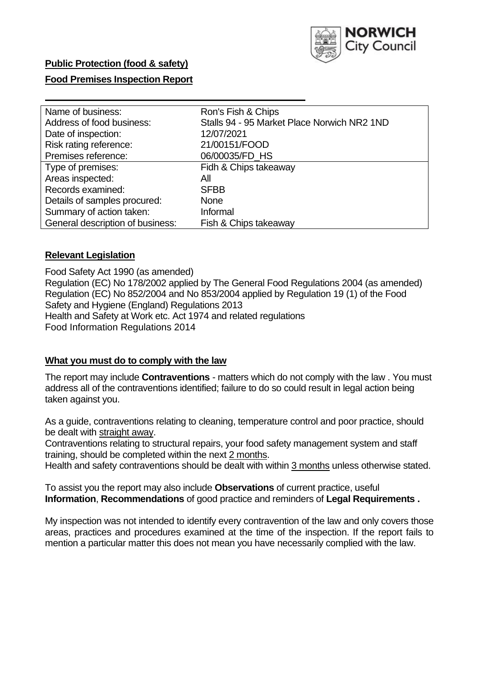

## **Public Protection (food & safety)**

#### **Food Premises Inspection Report**

| Name of business:                | Ron's Fish & Chips                          |
|----------------------------------|---------------------------------------------|
| Address of food business:        | Stalls 94 - 95 Market Place Norwich NR2 1ND |
| Date of inspection:              | 12/07/2021                                  |
| Risk rating reference:           | 21/00151/FOOD                               |
| Premises reference:              | 06/00035/FD HS                              |
| Type of premises:                | Fidh & Chips takeaway                       |
| Areas inspected:                 | All                                         |
| Records examined:                | <b>SFBB</b>                                 |
| Details of samples procured:     | <b>None</b>                                 |
| Summary of action taken:         | Informal                                    |
| General description of business: | Fish & Chips takeaway                       |

#### **Relevant Legislation**

 Food Safety Act 1990 (as amended) Regulation (EC) No 178/2002 applied by The General Food Regulations 2004 (as amended) Regulation (EC) No 852/2004 and No 853/2004 applied by Regulation 19 (1) of the Food Safety and Hygiene (England) Regulations 2013 Health and Safety at Work etc. Act 1974 and related regulations Food Information Regulations 2014

#### **What you must do to comply with the law**

 The report may include **Contraventions** - matters which do not comply with the law . You must address all of the contraventions identified; failure to do so could result in legal action being taken against you.

 As a guide, contraventions relating to cleaning, temperature control and poor practice, should be dealt with straight away.

 Contraventions relating to structural repairs, your food safety management system and staff training, should be completed within the next 2 months.

Health and safety contraventions should be dealt with within 3 months unless otherwise stated.

 To assist you the report may also include **Observations** of current practice, useful **Information**, **Recommendations** of good practice and reminders of **Legal Requirements .** 

 My inspection was not intended to identify every contravention of the law and only covers those areas, practices and procedures examined at the time of the inspection. If the report fails to mention a particular matter this does not mean you have necessarily complied with the law.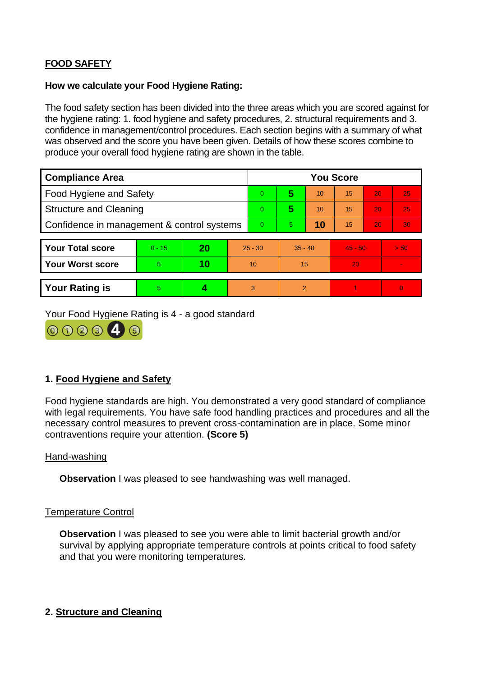# **FOOD SAFETY**

### **How we calculate your Food Hygiene Rating:**

 The food safety section has been divided into the three areas which you are scored against for the hygiene rating: 1. food hygiene and safety procedures, 2. structural requirements and 3. confidence in management/control procedures. Each section begins with a summary of what was observed and the score you have been given. Details of how these scores combine to produce your overall food hygiene rating are shown in the table.

| <b>Compliance Area</b>                     |          |    |           | <b>You Score</b> |                |    |           |    |                |  |  |
|--------------------------------------------|----------|----|-----------|------------------|----------------|----|-----------|----|----------------|--|--|
| <b>Food Hygiene and Safety</b>             |          |    |           | $\overline{0}$   | 5              | 10 | 15        | 20 | 25             |  |  |
| <b>Structure and Cleaning</b>              |          |    |           | $\overline{0}$   | 5              | 10 | 15        | 20 | 25             |  |  |
| Confidence in management & control systems |          |    | $\Omega$  | 5                | 10             | 15 | 20        | 30 |                |  |  |
|                                            |          |    |           |                  |                |    |           |    |                |  |  |
| <b>Your Total score</b>                    | $0 - 15$ | 20 | $25 - 30$ |                  | $35 - 40$      |    | $45 - 50$ |    | > 50           |  |  |
| <b>Your Worst score</b>                    | 5.       | 10 | 10        |                  | 15             |    | 20        |    | $\blacksquare$ |  |  |
|                                            |          |    |           |                  |                |    |           |    |                |  |  |
| <b>Your Rating is</b>                      | 5        |    |           | 3                | $\overline{2}$ |    |           |    | $\Omega$       |  |  |

Your Food Hygiene Rating is 4 - a good standard



# **1. Food Hygiene and Safety**

 with legal requirements. You have safe food handling practices and procedures and all the Food hygiene standards are high. You demonstrated a very good standard of compliance necessary control measures to prevent cross-contamination are in place. Some minor contraventions require your attention. **(Score 5)** 

## Hand-washing

**Observation** I was pleased to see handwashing was well managed.

#### Temperature Control

**Observation** I was pleased to see you were able to limit bacterial growth and/or survival by applying appropriate temperature controls at points critical to food safety and that you were monitoring temperatures.

## **2. Structure and Cleaning**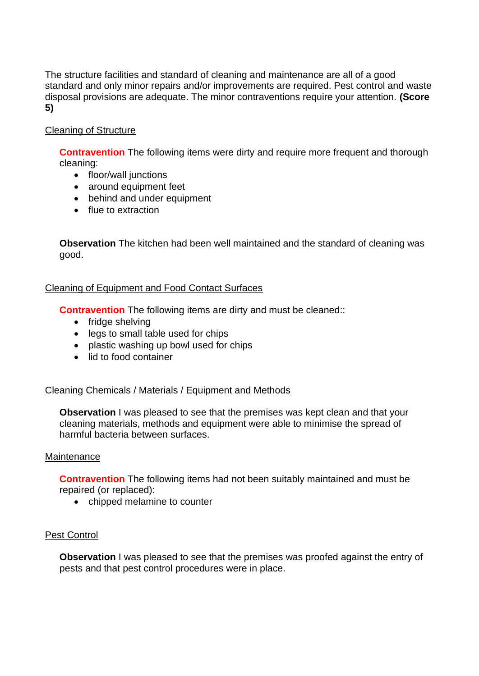The structure facilities and standard of cleaning and maintenance are all of a good standard and only minor repairs and/or improvements are required. Pest control and waste disposal provisions are adequate. The minor contraventions require your attention. **(Score 5)** 

## Cleaning of Structure

**Contravention** The following items were dirty and require more frequent and thorough cleaning:

- floor/wall junctions
- around equipment feet
- behind and under equipment
- flue to extraction

 **Observation** The kitchen had been well maintained and the standard of cleaning was good.

## Cleaning of Equipment and Food Contact Surfaces

**Contravention** The following items are dirty and must be cleaned::

- fridge shelving
- legs to small table used for chips
- plastic washing up bowl used for chips
- lid to food container

## Cleaning Chemicals / Materials / Equipment and Methods

**Observation** I was pleased to see that the premises was kept clean and that your cleaning materials, methods and equipment were able to minimise the spread of harmful bacteria between surfaces.

#### **Maintenance**

 **Contravention** The following items had not been suitably maintained and must be repaired (or replaced):

• chipped melamine to counter

## Pest Control

**Observation** I was pleased to see that the premises was proofed against the entry of pests and that pest control procedures were in place.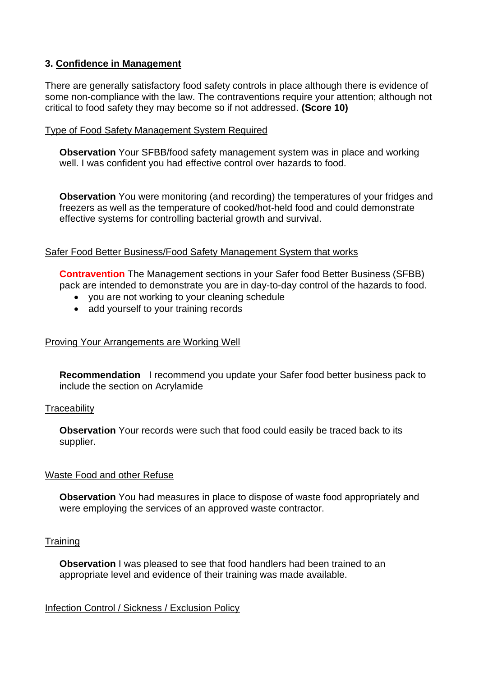## **3. Confidence in Management**

 There are generally satisfactory food safety controls in place although there is evidence of some non-compliance with the law. The contraventions require your attention; although not critical to food safety they may become so if not addressed. **(Score 10)** 

### Type of Food Safety Management System Required

**Observation** Your SFBB/food safety management system was in place and working well. I was confident you had effective control over hazards to food.

**Observation** You were monitoring (and recording) the temperatures of your fridges and freezers as well as the temperature of cooked/hot-held food and could demonstrate effective systems for controlling bacterial growth and survival.

## Safer Food Better Business/Food Safety Management System that works

**Contravention** The Management sections in your Safer food Better Business (SFBB) pack are intended to demonstrate you are in day-to-day control of the hazards to food.

- you are not working to your cleaning schedule
- add yourself to your training records

### Proving Your Arrangements are Working Well

 **Recommendation** I recommend you update your Safer food better business pack to include the section on Acrylamide

#### **Traceability**

**Observation** Your records were such that food could easily be traced back to its supplier.

#### Waste Food and other Refuse

**Observation** You had measures in place to dispose of waste food appropriately and were employing the services of an approved waste contractor.

## **Training**

**Observation** I was pleased to see that food handlers had been trained to an appropriate level and evidence of their training was made available.

## Infection Control / Sickness / Exclusion Policy